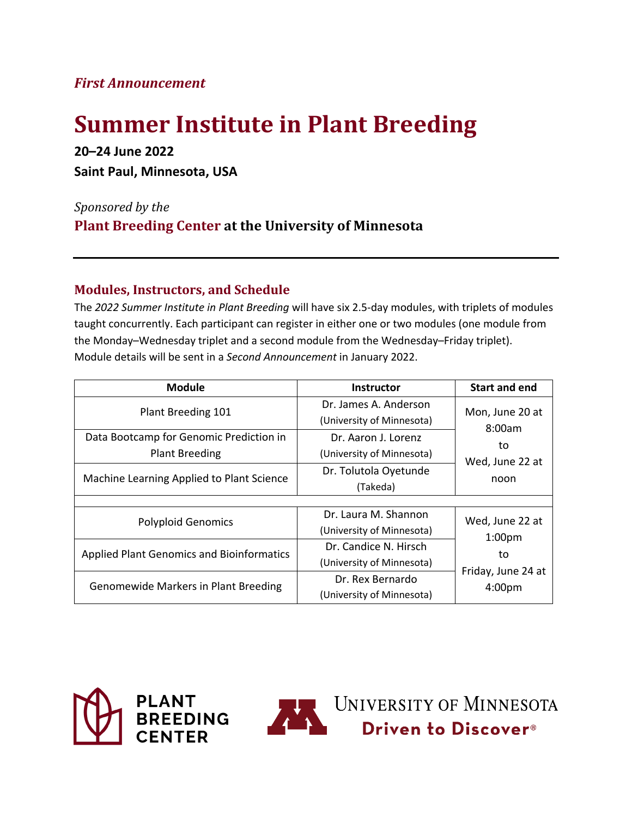## *First Announcement*

# **Summer Institute in Plant Breeding**

**20–24 June 2022 Saint Paul, Minnesota, USA**

*Sponsored by the* **Plant Breeding Center at the University of Minnesota**

#### **Modules, Instructors, and Schedule**

The *2022 Summer Institute in Plant Breeding* will have six 2.5-day modules, with triplets of modules taught concurrently. Each participant can register in either one or two modules (one module from the Monday–Wednesday triplet and a second module from the Wednesday–Friday triplet). Module details will be sent in a *Second Announcement* in January 2022.

| <b>Module</b>                                                    | <b>Instructor</b>                                  | <b>Start and end</b>                                                        |
|------------------------------------------------------------------|----------------------------------------------------|-----------------------------------------------------------------------------|
| Plant Breeding 101                                               | Dr. James A. Anderson<br>(University of Minnesota) | Mon, June 20 at<br>8:00am<br>to<br>Wed, June 22 at<br>noon                  |
| Data Bootcamp for Genomic Prediction in<br><b>Plant Breeding</b> | Dr. Aaron J. Lorenz<br>(University of Minnesota)   |                                                                             |
| Machine Learning Applied to Plant Science                        | Dr. Tolutola Oyetunde<br>(Takeda)                  |                                                                             |
|                                                                  |                                                    |                                                                             |
| <b>Polyploid Genomics</b>                                        | Dr. Laura M. Shannon                               | Wed, June 22 at<br>1:00 <sub>pm</sub><br>to<br>Friday, June 24 at<br>4:00pm |
|                                                                  | (University of Minnesota)                          |                                                                             |
| <b>Applied Plant Genomics and Bioinformatics</b>                 | Dr. Candice N. Hirsch                              |                                                                             |
|                                                                  | (University of Minnesota)                          |                                                                             |
| <b>Genomewide Markers in Plant Breeding</b>                      | Dr. Rex Bernardo                                   |                                                                             |
|                                                                  | (University of Minnesota)                          |                                                                             |